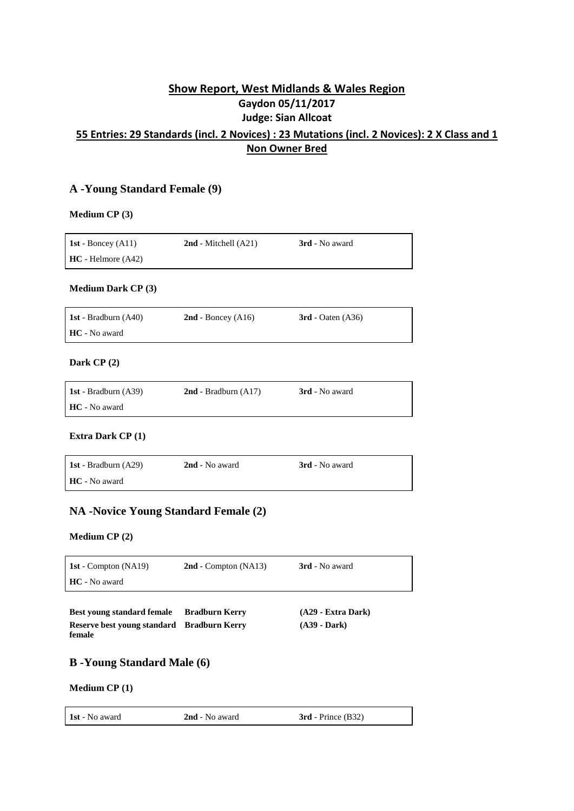# **Show Report, West Midlands & Wales Region Gaydon 05/11/2017 Judge: Sian Allcoat**

# **55 Entries: 29 Standards (incl. 2 Novices) : 23 Mutations (incl. 2 Novices): 2 X Class and 1 Non Owner Bred**

# **A -Young Standard Female (9)**

### **Medium CP (3)**

| 1st - Boncey $(A11)$ | $2nd$ - Mitchell $(A21)$ | 3rd - No award |
|----------------------|--------------------------|----------------|
| $HC - Helmore (A42)$ |                          |                |

### **Medium Dark CP (3)**

| <b>1st</b> - Bradburn (A40) | $2nd$ - Boncey (A16) | $3rd$ - Oaten (A36) |
|-----------------------------|----------------------|---------------------|
| HC - No award               |                      |                     |

### **Dark CP (2)**

| <b>1st</b> - Bradburn $(A39)$ | $2nd$ - Bradburn $(A17)$ | 3rd - No award |
|-------------------------------|--------------------------|----------------|
| HC - No award                 |                          |                |

### **Extra Dark CP (1)**

| <b>1st</b> - Bradburn $(A29)$ | 2nd - No award | <b>3rd</b> - No award |
|-------------------------------|----------------|-----------------------|
| HC - No award                 |                |                       |

# **NA -Novice Young Standard Female (2)**

### **Medium CP (2)**

| <b>1st</b> - Compton (NA19) | $2nd$ - Compton (NA13) | 3rd - No award |
|-----------------------------|------------------------|----------------|
| <b>HC</b> - No award        |                        |                |
|                             |                        |                |

| <b>Best young standard female</b>          | <b>Bradburn Kerry</b> | $(A29 - Extra Dark)$ |
|--------------------------------------------|-----------------------|----------------------|
| Reserve best young standard Bradburn Kerry |                       | $(A39 - Dark)$       |
| female                                     |                       |                      |

# **B -Young Standard Male (6)**

### **Medium CP (1)**

| <b>1st</b> - No award<br>$3rd$ - Prince $(B32)$<br>2nd - No award |  |
|-------------------------------------------------------------------|--|
|-------------------------------------------------------------------|--|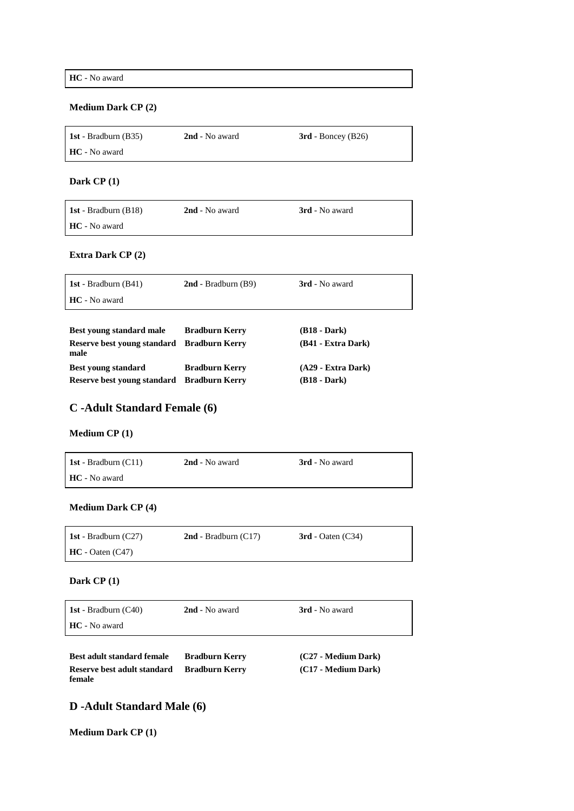**HC** - No award

### **Medium Dark CP (2)**

| <b>1st</b> - Bradburn (B35) | 2nd - No award | $3rd$ - Boncey (B26) |
|-----------------------------|----------------|----------------------|
| <b>HC</b> - No award        |                |                      |

### **Dark CP (1)**

| <b>1st</b> - Bradburn (B18) | 2nd - No award | <b>3rd</b> - No award |
|-----------------------------|----------------|-----------------------|
| <b>HC</b> - No award        |                |                       |

### **Extra Dark CP (2)**

| 1st - Bradburn $(B41)$ | $2nd$ - Bradburn (B9) | 3rd - No award |
|------------------------|-----------------------|----------------|
| <b>HC</b> - No award   |                       |                |
|                        |                       |                |

| Best young standard male                           | <b>Bradburn Kerry</b> | $(B18 - Dark)$       |
|----------------------------------------------------|-----------------------|----------------------|
| Reserve best young standard Bradburn Kerry<br>male |                       | (B41 - Extra Dark)   |
| <b>Best young standard</b>                         | <b>Bradburn Kerry</b> | $(A29 - Extra Dark)$ |
| Reserve best young standard Bradburn Kerry         |                       | $(B18 - Dark)$       |

# **C -Adult Standard Female (6)**

### **Medium CP (1)**

| <b>1st</b> - Bradburn $(C11)$ | 2nd - No award | 3rd - No award |
|-------------------------------|----------------|----------------|
| <b>HC</b> - No award          |                |                |

### **Medium Dark CP (4)**

| 1st - Bradburn $(C27)$ | $2nd$ - Bradburn (C17) | $3rd$ - Oaten (C34) |
|------------------------|------------------------|---------------------|
| $HC - Oaten (C47)$     |                        |                     |

### **Dark CP (1)**

| 1st - Bradburn $(C40)$<br>HC - No award | 2nd - No award        | 3rd - No award      |
|-----------------------------------------|-----------------------|---------------------|
|                                         |                       |                     |
|                                         |                       |                     |
| <b>Best adult standard female</b>       | <b>Bradburn Kerry</b> | (C27 - Medium Dark) |
| Reserve best adult standard             | <b>Bradburn Kerry</b> | (C17 - Medium Dark) |
| female                                  |                       |                     |

# **D -Adult Standard Male (6)**

**Medium Dark CP (1)**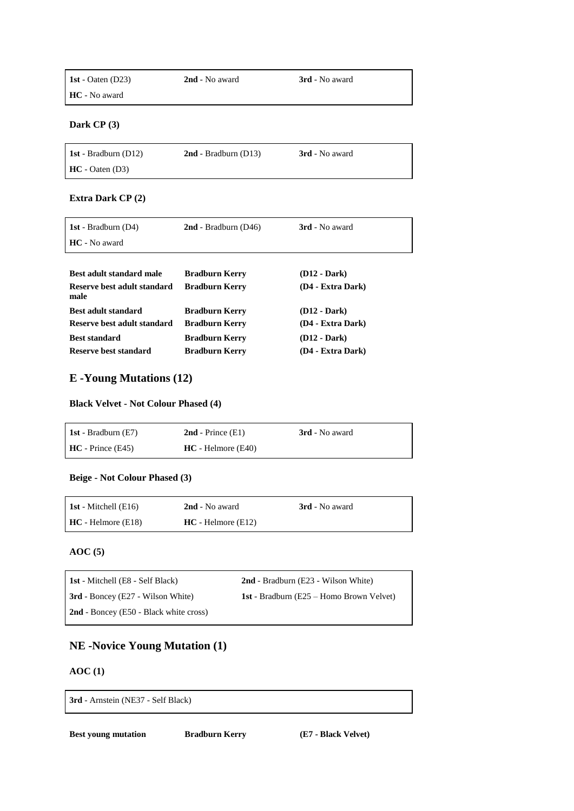| 1st - Oaten $(D23)$  | 2nd - No award | <b>3rd</b> - No award |
|----------------------|----------------|-----------------------|
| <b>HC</b> - No award |                |                       |

**Dark CP (3)**

| <b>1st</b> - Bradburn (D12) | $2nd$ - Bradburn (D13) | <b>3rd</b> - No award |
|-----------------------------|------------------------|-----------------------|
| $HC - Oaten (D3)$           |                        |                       |

### **Extra Dark CP (2)**

| 1st - Bradburn $(D4)$               | $2nd$ - Bradburn (D46) | 3rd - No award           |
|-------------------------------------|------------------------|--------------------------|
| HC - No award                       |                        |                          |
|                                     |                        |                          |
| Best adult standard male            | <b>Bradburn Kerry</b>  | (D <sub>12</sub> - Dark) |
| Reserve best adult standard<br>male | <b>Bradburn Kerry</b>  | (D4 - Extra Dark)        |
| Best adult standard                 | <b>Bradburn Kerry</b>  | $(D12 - Dark)$           |
| Reserve best adult standard         | <b>Bradburn Kerry</b>  | (D4 - Extra Dark)        |
| <b>Best standard</b>                | <b>Bradburn Kerry</b>  | (D <sub>12</sub> - Dark) |
| Reserve best standard               | <b>Bradburn Kerry</b>  | (D4 - Extra Dark)        |

# **E -Young Mutations (12)**

#### **Black Velvet - Not Colour Phased (4)**

| 1st - Bradburn $(E7)$ | $2nd$ - Prince $(E1)$ | 3rd - No award |
|-----------------------|-----------------------|----------------|
| $HC - Prince (E45)$   | $HC - Helmore (E40)$  |                |

### **Beige - Not Colour Phased (3)**

| <b>1st</b> - Mitchell $(E16)$ | 2nd - No award       | <b>3rd</b> - No award |
|-------------------------------|----------------------|-----------------------|
| $HC - Helmore (E18)$          | $HC - Helmore (E12)$ |                       |

### **AOC (5)**

| <b>1st</b> - Mitchell (E8 - Self Black)  | 2nd - Bradburn (E23 - Wilson White)                |
|------------------------------------------|----------------------------------------------------|
| <b>3rd</b> - Boncey (E27 - Wilson White) | <b>1st</b> - Bradburn ( $E25$ – Homo Brown Velvet) |
| $2nd$ - Boncey (E50 - Black white cross) |                                                    |

# **NE -Novice Young Mutation (1)**

# **AOC (1)**

**3rd** - Arnstein (NE37 - Self Black)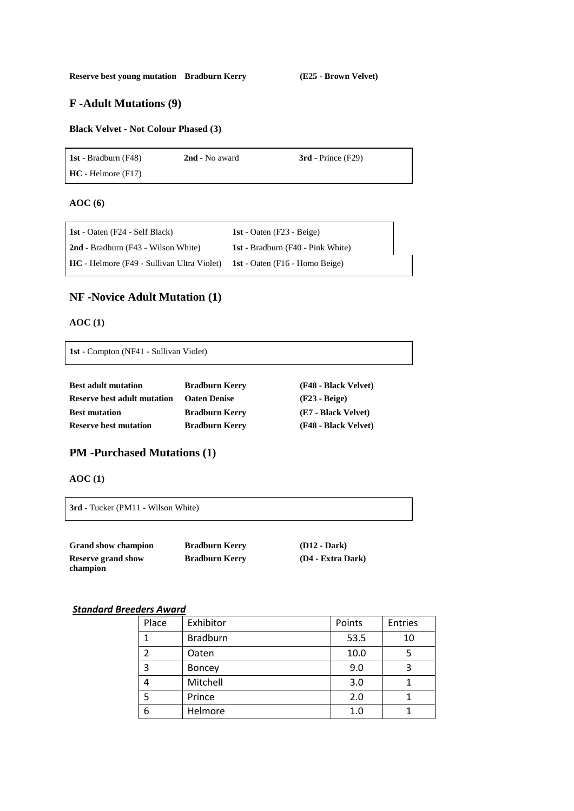### **F -Adult Mutations (9)**

### **Black Velvet - Not Colour Phased (3)**

**1st** - Bradburn (F48) **2nd** - No award **3rd** - Prince (F29) **HC** - Helmore (F17)

#### **AOC (6)**

| <b>1st</b> - Oaten (F24 - Self Black)             | 1st - Oaten $(F23 - Beige)$              |
|---------------------------------------------------|------------------------------------------|
| <b>2nd</b> - Bradburn (F43 - Wilson White)        | <b>1st</b> - Bradburn (F40 - Pink White) |
| <b>HC</b> - Helmore (F49 - Sullivan Ultra Violet) | <b>1st</b> - Oaten (F16 - Homo Beige)    |

### **NF -Novice Adult Mutation (1)**

### **AOC (1)**

**1st** - Compton (NF41 - Sullivan Violet)

| <b>Best adult mutation</b>         | <b>Bradburn Kerry</b> | (F48 - Black Velvet) |
|------------------------------------|-----------------------|----------------------|
| <b>Reserve best adult mutation</b> | <b>Oaten Denise</b>   | $(F23 - Beige)$      |
| <b>Best mutation</b>               | <b>Bradburn Kerry</b> | (E7 - Black Velvet)  |
| <b>Reserve best mutation</b>       | <b>Bradburn Kerry</b> | (F48 - Black Velvet) |

### **PM -Purchased Mutations (1)**

**AOC (1)**

**3rd** - Tucker (PM11 - Wilson White)

| <b>Grand show champion</b> | <b>Bradburn Kerry</b> | $(D12 - Dark)$    |
|----------------------------|-----------------------|-------------------|
| <b>Reserve grand show</b>  | <b>Bradburn Kerry</b> | (D4 - Extra Dark) |
| champion                   |                       |                   |

### *Standard Breeders Award*

| Place | Exhibitor       | Points | <b>Entries</b> |
|-------|-----------------|--------|----------------|
|       | <b>Bradburn</b> | 53.5   | 10             |
|       | Oaten           | 10.0   |                |
| 3     | <b>Boncey</b>   | 9.0    |                |
|       | Mitchell        | 3.0    |                |
|       | Prince          | 2.0    |                |
| 6     | Helmore         | 1.0    |                |